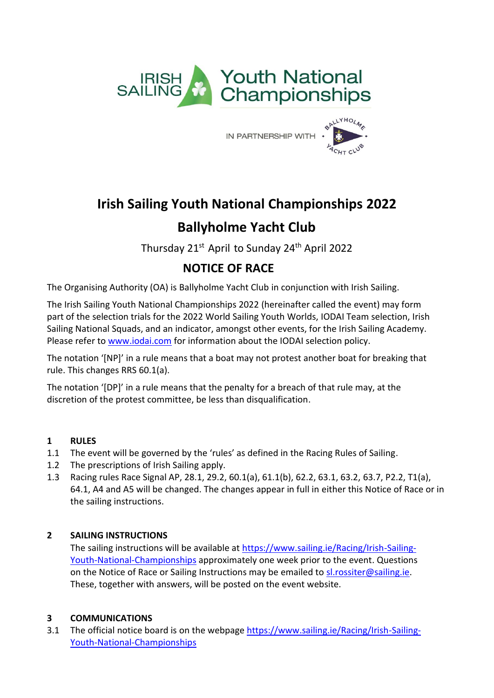

IN PARTNERSHIP WITH .



# **Irish Sailing Youth National Championships 2022 Ballyholme Yacht Club**

Thursday 21<sup>st</sup> April to Sunday 24<sup>th</sup> April 2022

# **NOTICE OF RACE**

The Organising Authority (OA) is Ballyholme Yacht Club in conjunction with Irish Sailing.

The Irish Sailing Youth National Championships 2022 (hereinafter called the event) may form part of the selection trials for the 2022 World Sailing Youth Worlds, IODAI Team selection, Irish Sailing National Squads, and an indicator, amongst other events, for the Irish Sailing Academy. Please refer to [www.iodai.com](http://www.iodai.com/) for information about the IODAI selection policy.

The notation '[NP]' in a rule means that a boat may not protest another boat for breaking that rule. This changes RRS 60.1(a).

The notation '[DP]' in a rule means that the penalty for a breach of that rule may, at the discretion of the protest committee, be less than disqualification.

# **1 RULES**

- 1.1 The event will be governed by the 'rules' as defined in the Racing Rules of Sailing.
- 1.2 The prescriptions of Irish Sailing apply.
- 1.3 Racing rules Race Signal AP, 28.1, 29.2, 60.1(a), 61.1(b), 62.2, 63.1, 63.2, 63.7, P2.2, T1(a), 64.1, A4 and A5 will be changed. The changes appear in full in either this Notice of Race or in the sailing instructions.

# **2 SAILING INSTRUCTIONS**

The sailing instructions will be available at [https://www.sailing.ie/Racing/Irish-Sailing-](https://www.sailing.ie/Racing/Irish-Sailing-Youth-National-Championships)[Youth-National-Championships](https://www.sailing.ie/Racing/Irish-Sailing-Youth-National-Championships) approximately one week prior to the event. Questions on the Notice of Race or Sailing Instructions may be emailed to [sl.rossiter@sailing.ie.](mailto:sl.rossiter@sailing.ie) These, together with answers, will be posted on the event website.

# **3 COMMUNICATIONS**

3.1 The official notice board is on the webpage [https://www.sailing.ie/Racing/Irish-Sailing-](https://www.sailing.ie/Racing/Irish-Sailing-Youth-National-Championships)[Youth-National-Championships](https://www.sailing.ie/Racing/Irish-Sailing-Youth-National-Championships)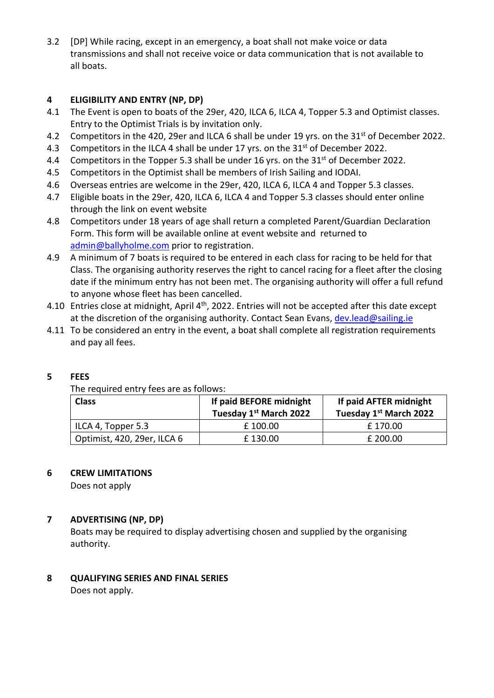3.2 [DP] While racing, except in an emergency, a boat shall not make voice or data transmissions and shall not receive voice or data communication that is not available to all boats.

# **4 ELIGIBILITY AND ENTRY (NP, DP)**

- 4.1 The Event is open to boats of the 29er, 420, ILCA 6, ILCA 4, Topper 5.3 and Optimist classes. Entry to the Optimist Trials is by invitation only.
- 4.2 Competitors in the 420, 29er and ILCA 6 shall be under 19 yrs. on the 31<sup>st</sup> of December 2022.
- 4.3 Competitors in the ILCA 4 shall be under 17 yrs. on the 31<sup>st</sup> of December 2022.
- 4.4 Competitors in the Topper 5.3 shall be under 16 yrs. on the 31<sup>st</sup> of December 2022.
- 4.5 Competitors in the Optimist shall be members of Irish Sailing and IODAI.
- 4.6 Overseas entries are welcome in the 29er, 420, ILCA 6, ILCA 4 and Topper 5.3 classes.
- 4.7 Eligible boats in the 29er, 420, ILCA 6, ILCA 4 and Topper 5.3 classes should enter online through the link on event website
- 4.8 Competitors under 18 years of age shall return a completed Parent/Guardian Declaration Form. This form will be available online at event website and returned to [admin@ballyholme.com](mailto:admin@ballyholme.com) prior to registration.
- 4.9 A minimum of 7 boats is required to be entered in each class for racing to be held for that Class. The organising authority reserves the right to cancel racing for a fleet after the closing date if the minimum entry has not been met. The organising authority will offer a full refund to anyone whose fleet has been cancelled.
- 4.10 Entries close at midnight, April 4<sup>th</sup>, 2022. Entries will not be accepted after this date except at the discretion of the organising authority. Contact Sean Evans, [dev.lead@sailing.ie](mailto:dev.lead@sailing.ie)
- 4.11 To be considered an entry in the event, a boat shall complete all registration requirements and pay all fees.

# **5 FEES**

The required entry fees are as follows:

| <b>Class</b>                | If paid BEFORE midnight<br>Tuesday 1st March 2022 | If paid AFTER midnight<br>Tuesday 1st March 2022 |
|-----------------------------|---------------------------------------------------|--------------------------------------------------|
| ILCA 4, Topper 5.3          | £ 100.00                                          | £170.00                                          |
| Optimist, 420, 29er, ILCA 6 | £130.00                                           | £ 200.00                                         |

#### **6 CREW LIMITATIONS**

Does not apply

# **7 ADVERTISING (NP, DP)**

Boats may be required to display advertising chosen and supplied by the organising authority.

# **8 QUALIFYING SERIES AND FINAL SERIES**

Does not apply.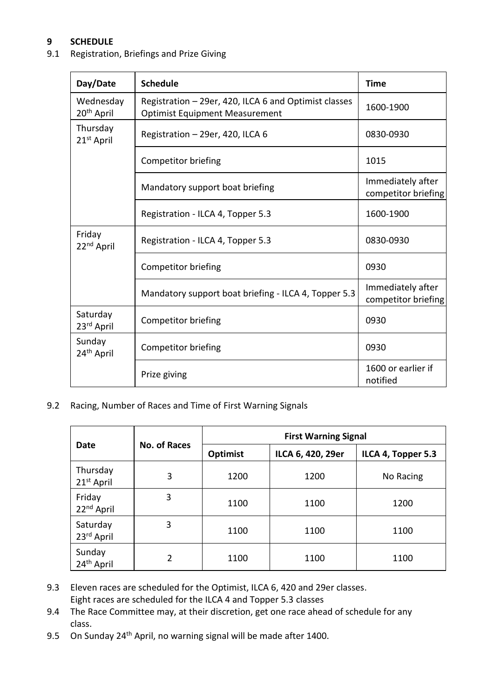# **9 SCHEDULE**

# 9.1 Registration, Briefings and Prize Giving

| Day/Date                            | <b>Schedule</b>                                                                                | <b>Time</b>                              |
|-------------------------------------|------------------------------------------------------------------------------------------------|------------------------------------------|
| Wednesday<br>20 <sup>th</sup> April | Registration - 29er, 420, ILCA 6 and Optimist classes<br><b>Optimist Equipment Measurement</b> | 1600-1900                                |
| Thursday<br>21st April              | Registration - 29er, 420, ILCA 6                                                               | 0830-0930                                |
|                                     | Competitor briefing                                                                            | 1015                                     |
|                                     | Mandatory support boat briefing                                                                |                                          |
|                                     | Registration - ILCA 4, Topper 5.3                                                              | 1600-1900                                |
| Friday<br>22 <sup>nd</sup> April    | Registration - ILCA 4, Topper 5.3                                                              | 0830-0930                                |
|                                     | Competitor briefing                                                                            | 0930                                     |
|                                     | Mandatory support boat briefing - ILCA 4, Topper 5.3                                           | Immediately after<br>competitor briefing |
| Saturday<br>23 <sup>rd</sup> April  | Competitor briefing                                                                            | 0930                                     |
| Sunday<br>24 <sup>th</sup> April    | Competitor briefing                                                                            | 0930                                     |
|                                     | Prize giving                                                                                   | 1600 or earlier if<br>notified           |

9.2 Racing, Number of Races and Time of First Warning Signals

|                                  | <b>No. of Races</b> | <b>First Warning Signal</b> |                   |                    |
|----------------------------------|---------------------|-----------------------------|-------------------|--------------------|
| Date                             |                     | <b>Optimist</b>             | ILCA 6, 420, 29er | ILCA 4, Topper 5.3 |
| Thursday<br>$21st$ April         | 3                   | 1200                        | 1200              | No Racing          |
| Friday<br>22 <sup>nd</sup> April | 3                   | 1100                        | 1100              | 1200               |
| Saturday<br>23rd April           | 3                   | 1100                        | 1100              | 1100               |
| Sunday<br>24 <sup>th</sup> April | 2                   | 1100                        | 1100              | 1100               |

- 9.3 Eleven races are scheduled for the Optimist, ILCA 6, 420 and 29er classes. Eight races are scheduled for the ILCA 4 and Topper 5.3 classes
- 9.4 The Race Committee may, at their discretion, get one race ahead of schedule for any class.
- 9.5 On Sunday 24<sup>th</sup> April, no warning signal will be made after 1400.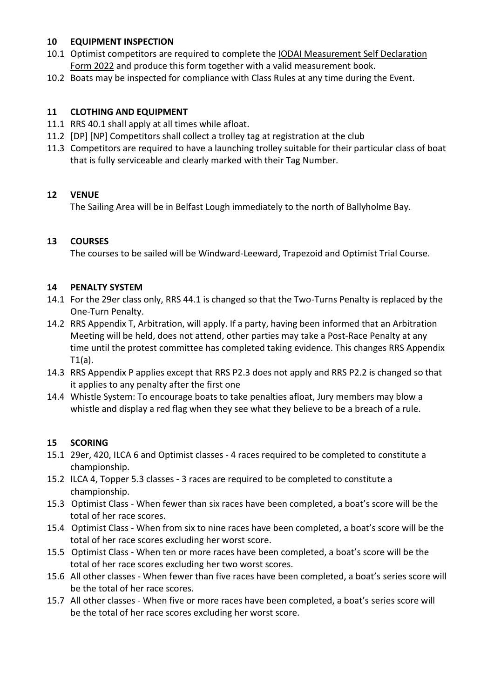# **10 EQUIPMENT INSPECTION**

- 10.1 Optimist competitors are required to complete the **IODAI Measurement Self Declaration** [Form 2022](https://docs.google.com/forms/d/e/1FAIpQLSd3ksX9NZW8xGVL9d42y5QMgPHJZlyhgtxIjMuxVBoy0ls8jg/viewform) and produce this form together with a valid measurement book.
- 10.2 Boats may be inspected for compliance with Class Rules at any time during the Event.

# **11 CLOTHING AND EQUIPMENT**

- 11.1 RRS 40.1 shall apply at all times while afloat.
- 11.2 [DP] [NP] Competitors shall collect a trolley tag at registration at the club
- 11.3 Competitors are required to have a launching trolley suitable for their particular class of boat that is fully serviceable and clearly marked with their Tag Number.

#### **12 VENUE**

The Sailing Area will be in Belfast Lough immediately to the north of Ballyholme Bay.

#### **13 COURSES**

The courses to be sailed will be Windward-Leeward, Trapezoid and Optimist Trial Course.

#### **14 PENALTY SYSTEM**

- 14.1 For the 29er class only, RRS 44.1 is changed so that the Two-Turns Penalty is replaced by the One-Turn Penalty.
- 14.2 RRS Appendix T, Arbitration, will apply. If a party, having been informed that an Arbitration Meeting will be held, does not attend, other parties may take a Post-Race Penalty at any time until the protest committee has completed taking evidence. This changes RRS Appendix T1(a).
- 14.3 RRS Appendix P applies except that RRS P2.3 does not apply and RRS P2.2 is changed so that it applies to any penalty after the first one
- 14.4 Whistle System: To encourage boats to take penalties afloat, Jury members may blow a whistle and display a red flag when they see what they believe to be a breach of a rule.

#### **15 SCORING**

- 15.1 29er, 420, ILCA 6 and Optimist classes 4 races required to be completed to constitute a championship.
- 15.2 ILCA 4, Topper 5.3 classes 3 races are required to be completed to constitute a championship.
- 15.3 Optimist Class When fewer than six races have been completed, a boat's score will be the total of her race scores.
- 15.4 Optimist Class When from six to nine races have been completed, a boat's score will be the total of her race scores excluding her worst score.
- 15.5 Optimist Class When ten or more races have been completed, a boat's score will be the total of her race scores excluding her two worst scores.
- 15.6 All other classes When fewer than five races have been completed, a boat's series score will be the total of her race scores.
- 15.7 All other classes When five or more races have been completed, a boat's series score will be the total of her race scores excluding her worst score.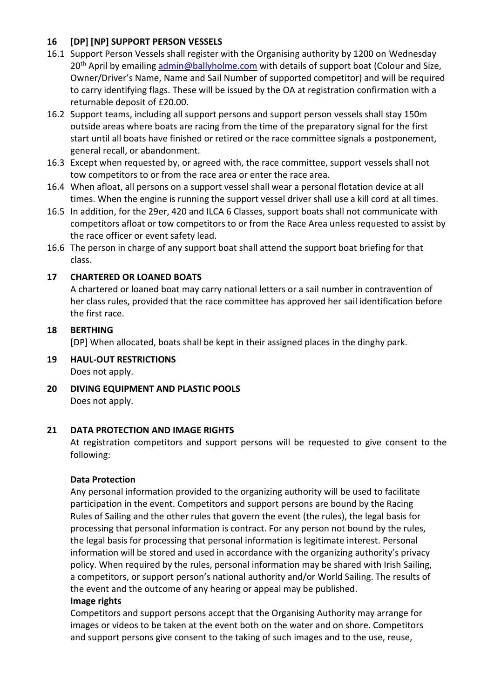# **16 [DP] [NP] SUPPORT PERSON VESSELS**

- 16.1 Support Person Vessels shall register with the Organising authority by 1200 on Wednesday 20<sup>th</sup> April by emailing [admin@ballyholme.com](mailto:admin@ballyholme.com) with details of support boat (Colour and Size, Owner/Driver's Name, Name and Sail Number of supported competitor) and will be required to carry identifying flags. These will be issued by the OA at registration confirmation with a returnable deposit of £20.00.
- 16.2 Support teams, including all support persons and support person vessels shall stay 150m outside areas where boats are racing from the time of the preparatory signal for the first start until all boats have finished or retired or the race committee signals a postponement, general recall, or abandonment.
- 16.3 Except when requested by, or agreed with, the race committee, support vessels shall not tow competitors to or from the race area or enter the race area.
- 16.4 When afloat, all persons on a support vessel shall wear a personal flotation device at all times. When the engine is running the support vessel driver shall use a kill cord at all times.
- 16.5 In addition, for the 29er, 420 and ILCA 6 Classes, support boats shall not communicate with competitors afloat or tow competitors to or from the Race Area unless requested to assist by the race officer or event safety lead.
- 16.6 The person in charge of any support boat shall attend the support boat briefing for that class.

# **17 CHARTERED OR LOANED BOATS**

A chartered or loaned boat may carry national letters or a sail number in contravention of her class rules, provided that the race committee has approved her sail identification before the first race.

# **18 BERTHING**

[DP] When allocated, boats shall be kept in their assigned places in the dinghy park.

- **19 HAUL-OUT RESTRICTIONS**  Does not apply.
- **20 DIVING EQUIPMENT AND PLASTIC POOLS**  Does not apply.

# **21 DATA PROTECTION AND IMAGE RIGHTS**

At registration competitors and support persons will be requested to give consent to the following:

# **Data Protection**

Any personal information provided to the organizing authority will be used to facilitate participation in the event. Competitors and support persons are bound by the Racing Rules of Sailing and the other rules that govern the event (the rules), the legal basis for processing that personal information is contract. For any person not bound by the rules, the legal basis for processing that personal information is legitimate interest. Personal information will be stored and used in accordance with the organizing authority's privacy policy. When required by the rules, personal information may be shared with Irish Sailing, a competitors, or support person's national authority and/or World Sailing. The results of the event and the outcome of any hearing or appeal may be published.

#### **Image rights**

Competitors and support persons accept that the Organising Authority may arrange for images or videos to be taken at the event both on the water and on shore. Competitors and support persons give consent to the taking of such images and to the use, reuse,